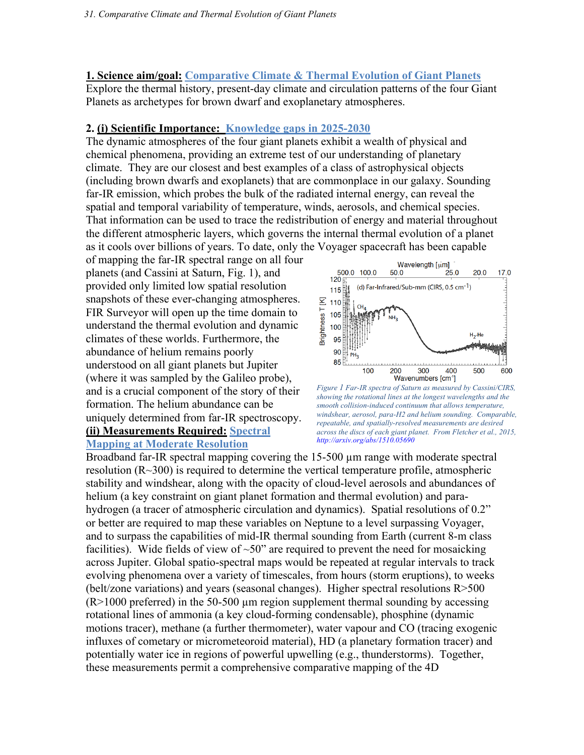#### **1. Science aim/goal: Comparative Climate & Thermal Evolution of Giant Planets**

Explore the thermal history, present-day climate and circulation patterns of the four Giant Planets as archetypes for brown dwarf and exoplanetary atmospheres.

### **2. (i) Scientific Importance: Knowledge gaps in 2025-2030**

The dynamic atmospheres of the four giant planets exhibit a wealth of physical and chemical phenomena, providing an extreme test of our understanding of planetary climate. They are our closest and best examples of a class of astrophysical objects (including brown dwarfs and exoplanets) that are commonplace in our galaxy. Sounding far-IR emission, which probes the bulk of the radiated internal energy, can reveal the spatial and temporal variability of temperature, winds, aerosols, and chemical species. That information can be used to trace the redistribution of energy and material throughout the different atmospheric layers, which governs the internal thermal evolution of a planet as it cools over billions of years. To date, only the Voyager spacecraft has been capable

of mapping the far-IR spectral range on all four planets (and Cassini at Saturn, Fig. 1), and provided only limited low spatial resolution snapshots of these ever-changing atmospheres. FIR Surveyor will open up the time domain to understand the thermal evolution and dynamic climates of these worlds. Furthermore, the abundance of helium remains poorly understood on all giant planets but Jupiter (where it was sampled by the Galileo probe), and is a crucial component of the story of their formation. The helium abundance can be uniquely determined from far-IR spectroscopy.

#### **(ii) Measurements Required: Spectral Mapping at Moderate Resolution**



*Figure 1 Far-IR spectra of Saturn as measured by Cassini/CIRS, showing the rotational lines at the longest wavelengths and the smooth collision-induced continuum that allows temperature, windshear, aerosol, para-H2 and helium sounding. Comparable, repeatable, and spatially-resolved measurements are desired across the discs of each giant planet. From Fletcher et al., 2015, http://arxiv.org/abs/1510.05690*

Broadband far-IR spectral mapping covering the 15-500 um range with moderate spectral resolution (R~300) is required to determine the vertical temperature profile, atmospheric stability and windshear, along with the opacity of cloud-level aerosols and abundances of helium (a key constraint on giant planet formation and thermal evolution) and parahydrogen (a tracer of atmospheric circulation and dynamics). Spatial resolutions of 0.2" or better are required to map these variables on Neptune to a level surpassing Voyager, and to surpass the capabilities of mid-IR thermal sounding from Earth (current 8-m class facilities). Wide fields of view of  $\sim 50$ " are required to prevent the need for mosaicking across Jupiter. Global spatio-spectral maps would be repeated at regular intervals to track evolving phenomena over a variety of timescales, from hours (storm eruptions), to weeks (belt/zone variations) and years (seasonal changes). Higher spectral resolutions R>500  $(R>1000$  preferred) in the 50-500 µm region supplement thermal sounding by accessing rotational lines of ammonia (a key cloud-forming condensable), phosphine (dynamic motions tracer), methane (a further thermometer), water vapour and CO (tracing exogenic influxes of cometary or micrometeoroid material), HD (a planetary formation tracer) and potentially water ice in regions of powerful upwelling (e.g., thunderstorms). Together, these measurements permit a comprehensive comparative mapping of the 4D